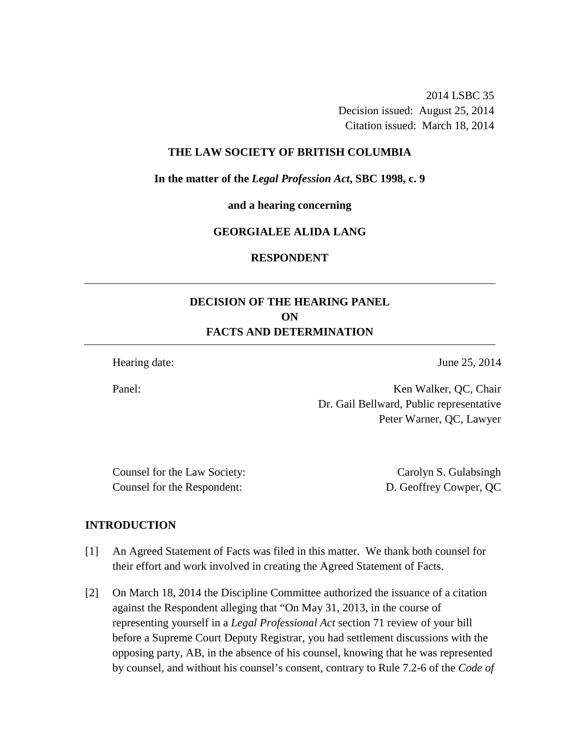2014 LSBC 35 Decision issued: August 25, 2014 Citation issued: March 18, 2014

## **THE LAW SOCIETY OF BRITISH COLUMBIA**

**In the matter of the** *Legal Profession Act***, SBC 1998, c. 9** 

**and a hearing concerning** 

# **GEORGIALEE ALIDA LANG**

#### **RESPONDENT**

# **DECISION OF THE HEARING PANEL ON FACTS AND DETERMINATION**

Hearing date: June 25, 2014

Panel: Ken Walker, QC, Chair Dr. Gail Bellward, Public representative

Counsel for the Law Society: Carolyn S. Gulabsingh Counsel for the Respondent: D. Geoffrey Cowper, QC

Peter Warner, QC, Lawyer

## **INTRODUCTION**

- [1] An Agreed Statement of Facts was filed in this matter. We thank both counsel for their effort and work involved in creating the Agreed Statement of Facts.
- [2] On March 18, 2014 the Discipline Committee authorized the issuance of a citation against the Respondent alleging that "On May 31, 2013, in the course of representing yourself in a *Legal Professional Act* section 71 review of your bill before a Supreme Court Deputy Registrar, you had settlement discussions with the opposing party, AB, in the absence of his counsel, knowing that he was represented by counsel, and without his counsel's consent, contrary to Rule 7.2-6 of the *Code of*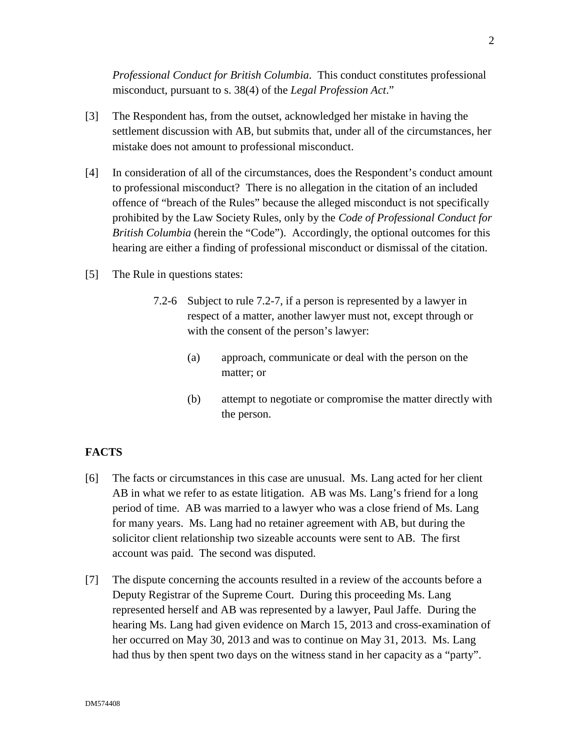*Professional Conduct for British Columbia*. This conduct constitutes professional misconduct, pursuant to s. 38(4) of the *Legal Profession Act*."

- [3] The Respondent has, from the outset, acknowledged her mistake in having the settlement discussion with AB, but submits that, under all of the circumstances, her mistake does not amount to professional misconduct.
- [4] In consideration of all of the circumstances, does the Respondent's conduct amount to professional misconduct? There is no allegation in the citation of an included offence of "breach of the Rules" because the alleged misconduct is not specifically prohibited by the Law Society Rules, only by the *Code of Professional Conduct for British Columbia* (herein the "Code"). Accordingly, the optional outcomes for this hearing are either a finding of professional misconduct or dismissal of the citation.
- [5] The Rule in questions states:
	- 7.2-6 Subject to rule 7.2-7, if a person is represented by a lawyer in respect of a matter, another lawyer must not, except through or with the consent of the person's lawyer:
		- (a) approach, communicate or deal with the person on the matter; or
		- (b) attempt to negotiate or compromise the matter directly with the person.

## **FACTS**

- [6] The facts or circumstances in this case are unusual. Ms. Lang acted for her client AB in what we refer to as estate litigation. AB was Ms. Lang's friend for a long period of time. AB was married to a lawyer who was a close friend of Ms. Lang for many years. Ms. Lang had no retainer agreement with AB, but during the solicitor client relationship two sizeable accounts were sent to AB. The first account was paid. The second was disputed.
- [7] The dispute concerning the accounts resulted in a review of the accounts before a Deputy Registrar of the Supreme Court. During this proceeding Ms. Lang represented herself and AB was represented by a lawyer, Paul Jaffe. During the hearing Ms. Lang had given evidence on March 15, 2013 and cross-examination of her occurred on May 30, 2013 and was to continue on May 31, 2013. Ms. Lang had thus by then spent two days on the witness stand in her capacity as a "party".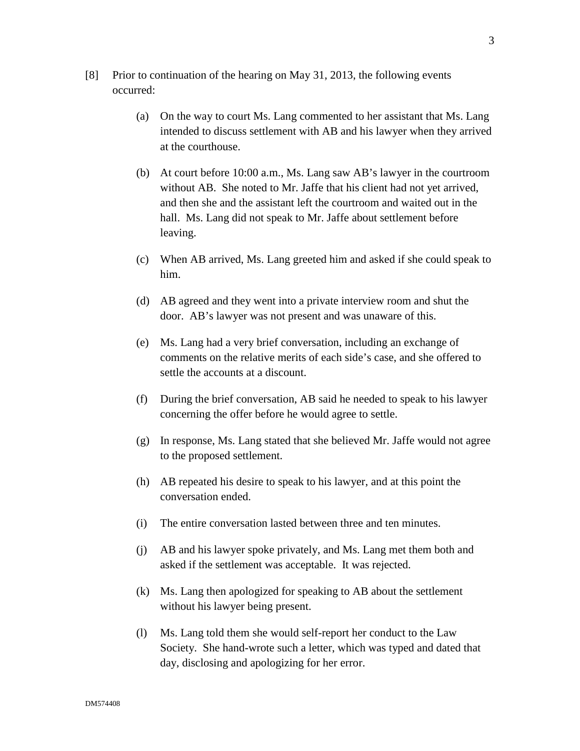- [8] Prior to continuation of the hearing on May 31, 2013, the following events occurred:
	- (a) On the way to court Ms. Lang commented to her assistant that Ms. Lang intended to discuss settlement with AB and his lawyer when they arrived at the courthouse.
	- (b) At court before 10:00 a.m., Ms. Lang saw AB's lawyer in the courtroom without AB. She noted to Mr. Jaffe that his client had not yet arrived, and then she and the assistant left the courtroom and waited out in the hall. Ms. Lang did not speak to Mr. Jaffe about settlement before leaving.
	- (c) When AB arrived, Ms. Lang greeted him and asked if she could speak to him.
	- (d) AB agreed and they went into a private interview room and shut the door. AB's lawyer was not present and was unaware of this.
	- (e) Ms. Lang had a very brief conversation, including an exchange of comments on the relative merits of each side's case, and she offered to settle the accounts at a discount.
	- (f) During the brief conversation, AB said he needed to speak to his lawyer concerning the offer before he would agree to settle.
	- (g) In response, Ms. Lang stated that she believed Mr. Jaffe would not agree to the proposed settlement.
	- (h) AB repeated his desire to speak to his lawyer, and at this point the conversation ended.
	- (i) The entire conversation lasted between three and ten minutes.
	- (j) AB and his lawyer spoke privately, and Ms. Lang met them both and asked if the settlement was acceptable. It was rejected.
	- (k) Ms. Lang then apologized for speaking to AB about the settlement without his lawyer being present.
	- (l) Ms. Lang told them she would self-report her conduct to the Law Society. She hand-wrote such a letter, which was typed and dated that day, disclosing and apologizing for her error.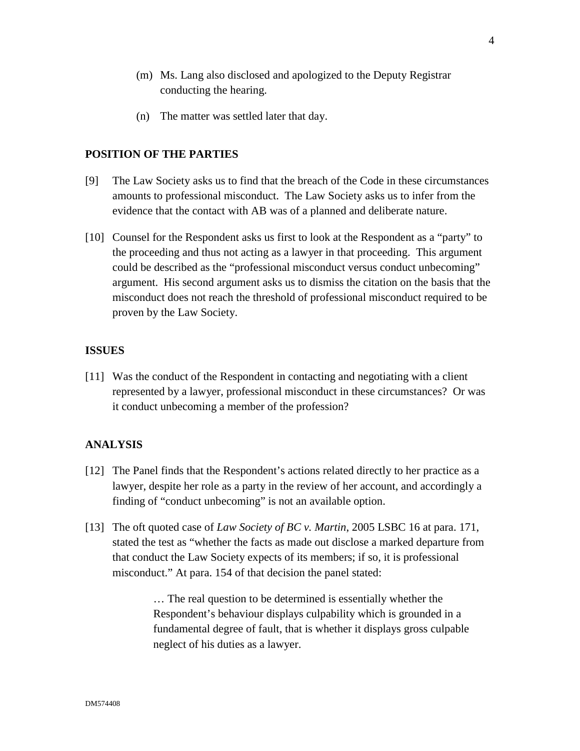- (m) Ms. Lang also disclosed and apologized to the Deputy Registrar conducting the hearing.
- (n) The matter was settled later that day.

# **POSITION OF THE PARTIES**

- [9] The Law Society asks us to find that the breach of the Code in these circumstances amounts to professional misconduct. The Law Society asks us to infer from the evidence that the contact with AB was of a planned and deliberate nature.
- [10] Counsel for the Respondent asks us first to look at the Respondent as a "party" to the proceeding and thus not acting as a lawyer in that proceeding. This argument could be described as the "professional misconduct versus conduct unbecoming" argument. His second argument asks us to dismiss the citation on the basis that the misconduct does not reach the threshold of professional misconduct required to be proven by the Law Society.

# **ISSUES**

[11] Was the conduct of the Respondent in contacting and negotiating with a client represented by a lawyer, professional misconduct in these circumstances? Or was it conduct unbecoming a member of the profession?

## **ANALYSIS**

- [12] The Panel finds that the Respondent's actions related directly to her practice as a lawyer, despite her role as a party in the review of her account, and accordingly a finding of "conduct unbecoming" is not an available option.
- [13] The oft quoted case of *Law Society of BC v. Martin*, 2005 LSBC 16 at para. 171, stated the test as "whether the facts as made out disclose a marked departure from that conduct the Law Society expects of its members; if so, it is professional misconduct." At para. 154 of that decision the panel stated:

… The real question to be determined is essentially whether the Respondent's behaviour displays culpability which is grounded in a fundamental degree of fault, that is whether it displays gross culpable neglect of his duties as a lawyer.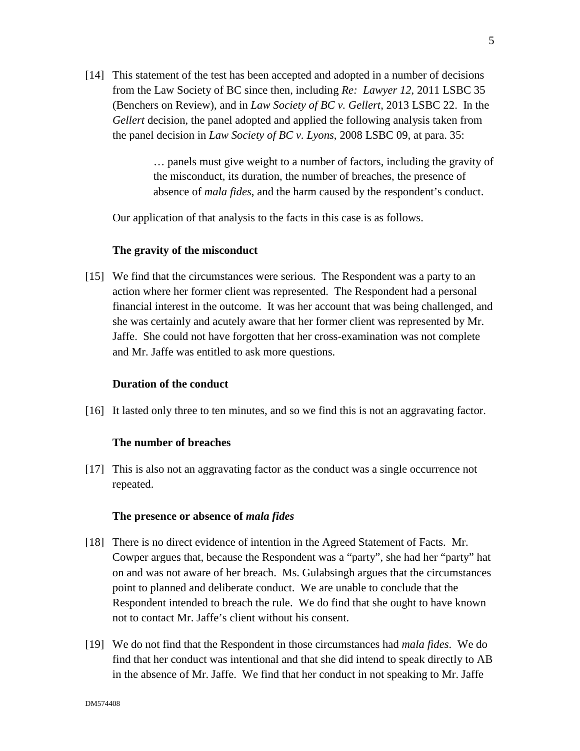[14] This statement of the test has been accepted and adopted in a number of decisions from the Law Society of BC since then, including *Re: Lawyer 12*, 2011 LSBC 35 (Benchers on Review), and in *Law Society of BC v. Gellert*, 2013 LSBC 22. In the *Gellert* decision, the panel adopted and applied the following analysis taken from the panel decision in *Law Society of BC v. Lyons*, 2008 LSBC 09, at para. 35:

> … panels must give weight to a number of factors, including the gravity of the misconduct, its duration, the number of breaches, the presence of absence of *mala fides*, and the harm caused by the respondent's conduct.

Our application of that analysis to the facts in this case is as follows.

# **The gravity of the misconduct**

[15] We find that the circumstances were serious. The Respondent was a party to an action where her former client was represented. The Respondent had a personal financial interest in the outcome. It was her account that was being challenged, and she was certainly and acutely aware that her former client was represented by Mr. Jaffe. She could not have forgotten that her cross-examination was not complete and Mr. Jaffe was entitled to ask more questions.

## **Duration of the conduct**

[16] It lasted only three to ten minutes, and so we find this is not an aggravating factor.

## **The number of breaches**

[17] This is also not an aggravating factor as the conduct was a single occurrence not repeated.

## **The presence or absence of** *mala fides*

- [18] There is no direct evidence of intention in the Agreed Statement of Facts. Mr. Cowper argues that, because the Respondent was a "party", she had her "party" hat on and was not aware of her breach. Ms. Gulabsingh argues that the circumstances point to planned and deliberate conduct. We are unable to conclude that the Respondent intended to breach the rule. We do find that she ought to have known not to contact Mr. Jaffe's client without his consent.
- [19] We do not find that the Respondent in those circumstances had *mala fides*. We do find that her conduct was intentional and that she did intend to speak directly to AB in the absence of Mr. Jaffe. We find that her conduct in not speaking to Mr. Jaffe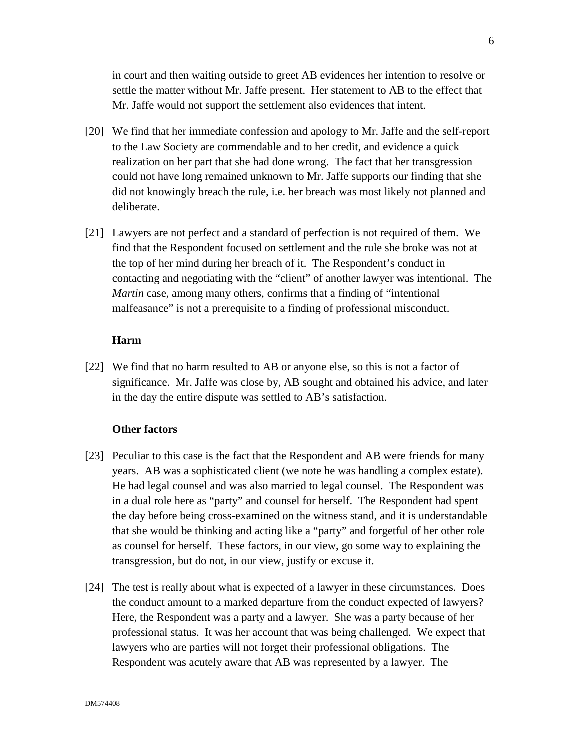in court and then waiting outside to greet AB evidences her intention to resolve or settle the matter without Mr. Jaffe present. Her statement to AB to the effect that Mr. Jaffe would not support the settlement also evidences that intent.

- [20] We find that her immediate confession and apology to Mr. Jaffe and the self-report to the Law Society are commendable and to her credit, and evidence a quick realization on her part that she had done wrong. The fact that her transgression could not have long remained unknown to Mr. Jaffe supports our finding that she did not knowingly breach the rule, i.e. her breach was most likely not planned and deliberate.
- [21] Lawyers are not perfect and a standard of perfection is not required of them. We find that the Respondent focused on settlement and the rule she broke was not at the top of her mind during her breach of it. The Respondent's conduct in contacting and negotiating with the "client" of another lawyer was intentional. The *Martin* case, among many others, confirms that a finding of "intentional malfeasance" is not a prerequisite to a finding of professional misconduct.

#### **Harm**

[22] We find that no harm resulted to AB or anyone else, so this is not a factor of significance. Mr. Jaffe was close by, AB sought and obtained his advice, and later in the day the entire dispute was settled to AB's satisfaction.

#### **Other factors**

- [23] Peculiar to this case is the fact that the Respondent and AB were friends for many years. AB was a sophisticated client (we note he was handling a complex estate). He had legal counsel and was also married to legal counsel. The Respondent was in a dual role here as "party" and counsel for herself. The Respondent had spent the day before being cross-examined on the witness stand, and it is understandable that she would be thinking and acting like a "party" and forgetful of her other role as counsel for herself. These factors, in our view, go some way to explaining the transgression, but do not, in our view, justify or excuse it.
- [24] The test is really about what is expected of a lawyer in these circumstances. Does the conduct amount to a marked departure from the conduct expected of lawyers? Here, the Respondent was a party and a lawyer. She was a party because of her professional status. It was her account that was being challenged. We expect that lawyers who are parties will not forget their professional obligations. The Respondent was acutely aware that AB was represented by a lawyer. The